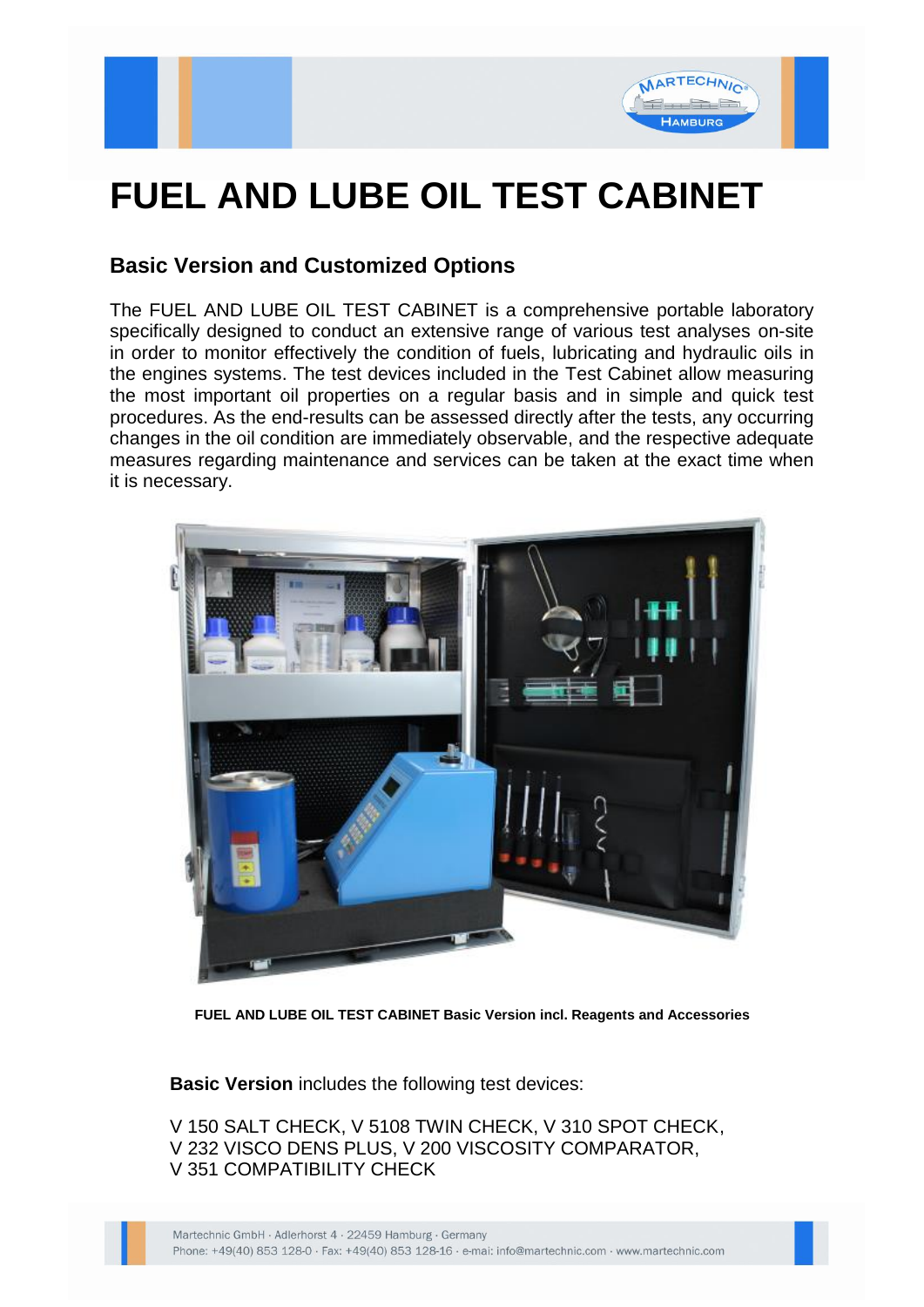



# **FUEL AND LUBE OIL TEST CABINET**

## **Basic Version and Customized Options**

The FUEL AND LUBE OIL TEST CABINET is a comprehensive portable laboratory specifically designed to conduct an extensive range of various test analyses on-site in order to monitor effectively the condition of fuels, lubricating and hydraulic oils in the engines systems. The test devices included in the Test Cabinet allow measuring the most important oil properties on a regular basis and in simple and quick test procedures. As the end-results can be assessed directly after the tests, any occurring changes in the oil condition are immediately observable, and the respective adequate measures regarding maintenance and services can be taken at the exact time when it is necessary.



**FUEL AND LUBE OIL TEST CABINET Basic Version incl. Reagents and Accessories** 

**Basic Version** includes the following test devices:

V 150 SALT CHECK, V 5108 TWIN CHECK, V 310 SPOT CHECK, V 232 VISCO DENS PLUS, V 200 VISCOSITY COMPARATOR, V 351 COMPATIBILITY CHECK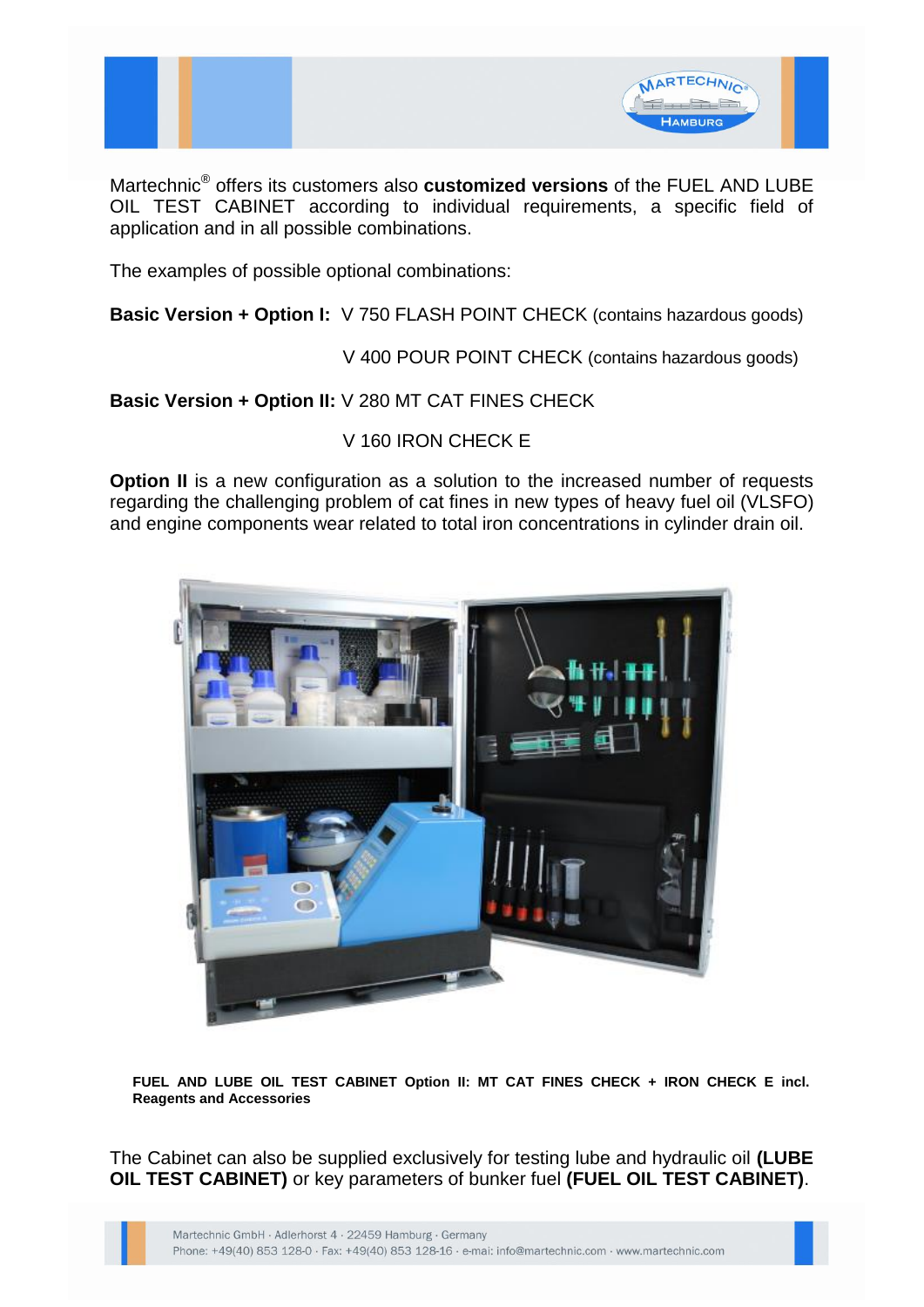

Martechnic® offers its customers also **customized versions** of the FUEL AND LUBE OIL TEST CABINET according to individual requirements, a specific field of application and in all possible combinations.

The examples of possible optional combinations:

**Basic Version + Option I:** V 750 FLASH POINT CHECK (contains hazardous goods)

V 400 POUR POINT CHECK (contains hazardous goods)

**Basic Version + Option II:** V 280 MT CAT FINES CHECK

V 160 IRON CHECK E

**Option II** is a new configuration as a solution to the increased number of requests regarding the challenging problem of cat fines in new types of heavy fuel oil (VLSFO) and engine components wear related to total iron concentrations in cylinder drain oil.



**FUEL AND LUBE OIL TEST CABINET Option II: MT CAT FINES CHECK + IRON CHECK E incl. Reagents and Accessories**

The Cabinet can also be supplied exclusively for testing lube and hydraulic oil **(LUBE OIL TEST CABINET)** or key parameters of bunker fuel **(FUEL OIL TEST CABINET)**.